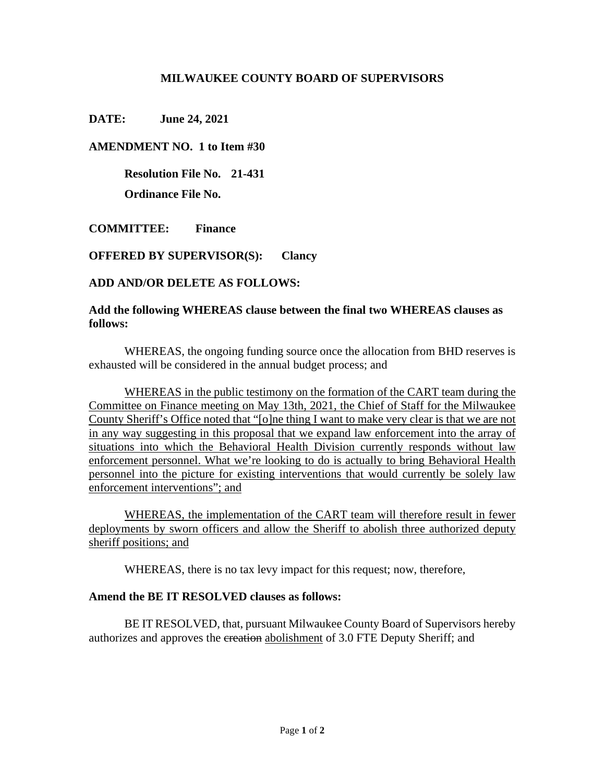## **MILWAUKEE COUNTY BOARD OF SUPERVISORS**

**DATE: June 24, 2021**

**AMENDMENT NO. 1 to Item #30**

**Resolution File No. 21-431 Ordinance File No.**

**COMMITTEE: Finance**

**OFFERED BY SUPERVISOR(S): Clancy**

**ADD AND/OR DELETE AS FOLLOWS:**

## **Add the following WHEREAS clause between the final two WHEREAS clauses as follows:**

WHEREAS, the ongoing funding source once the allocation from BHD reserves is exhausted will be considered in the annual budget process; and

WHEREAS in the public testimony on the formation of the CART team during the Committee on Finance meeting on May 13th, 2021, the Chief of Staff for the Milwaukee County Sheriff's Office noted that "[o]ne thing I want to make very clear is that we are not in any way suggesting in this proposal that we expand law enforcement into the array of situations into which the Behavioral Health Division currently responds without law enforcement personnel. What we're looking to do is actually to bring Behavioral Health personnel into the picture for existing interventions that would currently be solely law enforcement interventions"; and

WHEREAS, the implementation of the CART team will therefore result in fewer deployments by sworn officers and allow the Sheriff to abolish three authorized deputy sheriff positions; and

WHEREAS, there is no tax levy impact for this request; now, therefore,

## **Amend the BE IT RESOLVED clauses as follows:**

BE IT RESOLVED, that, pursuant Milwaukee County Board of Supervisors hereby authorizes and approves the creation abolishment of 3.0 FTE Deputy Sheriff; and